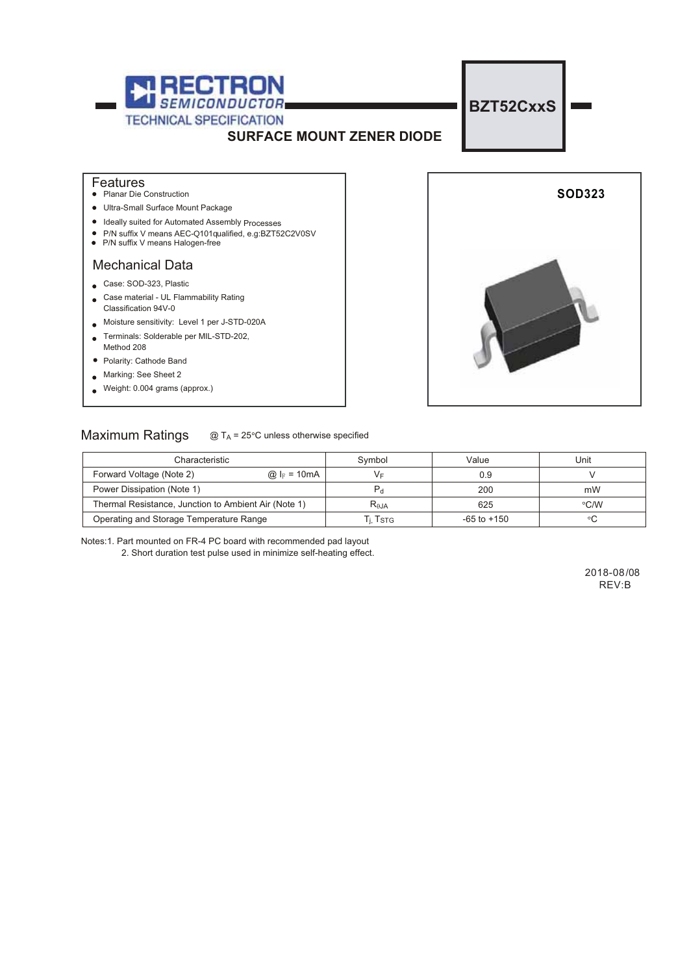

#### **Features**

- Planar Die Construction
- Ultra-Small Surface Mount Package
- Ideally suited for Automated Assembly Processes
- P/N suffix V means AEC-Q101 qualified, e.g: BZT52C2V0SV
- P/N suffix V means Halogen-free

### Mechanical Data

- Case: SOD-323, Plastic
- Case material UL Flammability Rating Classification 94V-0
- Moisture sensitivity: Level 1 per J-STD-020A
- Terminals: Solderable per MIL-STD-202,
- Method 208
- Polarity: Cathode Band
- **Marking: See Sheet 2**
- Weight: 0.004 grams (approx.)  $\overline{a}$



## Maximum Ratings  $@T_A = 25°C$  unless otherwise specified

| Characteristic                                       |                        | Svmbol                      | Value           | Unit |  |
|------------------------------------------------------|------------------------|-----------------------------|-----------------|------|--|
| Forward Voltage (Note 2)                             | @ $l_F = 10 \text{mA}$ | V⊧                          | 0.9             |      |  |
| Power Dissipation (Note 1)                           |                        |                             | 200             | mW   |  |
| Thermal Resistance, Junction to Ambient Air (Note 1) |                        | $R_{\theta$ JA              | 625             | °C/W |  |
| Operating and Storage Temperature Range              |                        | ' $\cdot$ T $_{\text{STG}}$ | $-65$ to $+150$ |      |  |

Notes:1. Part mounted on FR-4 PC board with recommended pad layout

2. Short duration test pulse used in minimize self-heating effect.

REV:B 2018-08/08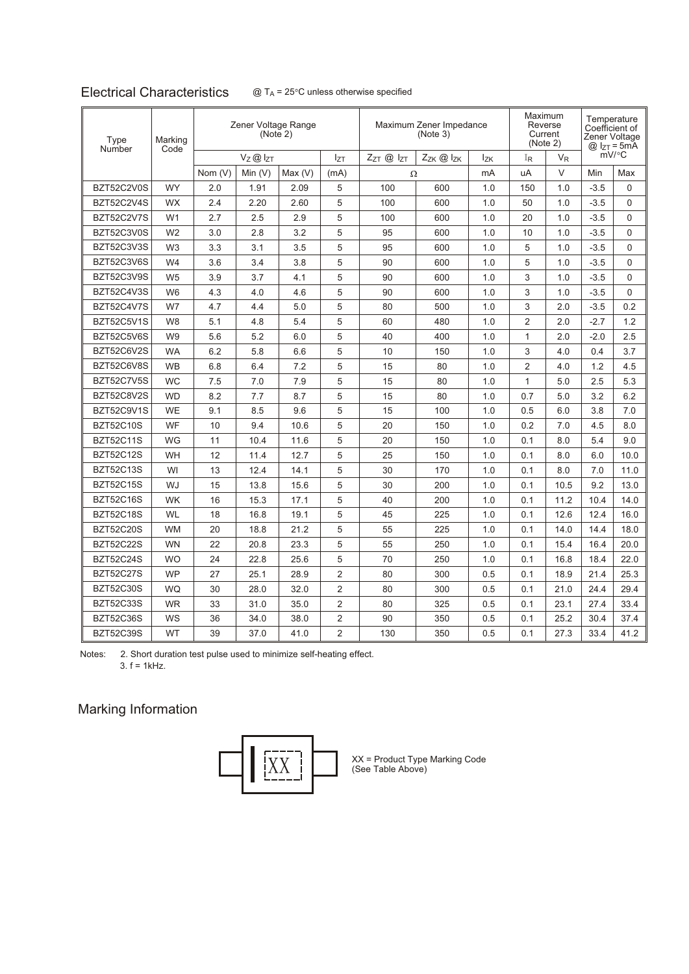# **Electrical Characteristics**

| Marking<br>Type<br>Code<br>Number |                |         | Zener Voltage Range<br>(Note 2) |           |                | Maximum Zener Impedance<br>(Note 3) |     |         | Maximum<br>Reverse<br>Current<br>(Note 2) |        | Temperature<br>Coefficient of<br>Zener Voltage<br>$@$ $I_{ZT} = 5mA$ |          |
|-----------------------------------|----------------|---------|---------------------------------|-----------|----------------|-------------------------------------|-----|---------|-------------------------------------------|--------|----------------------------------------------------------------------|----------|
|                                   | Vz@lzT         |         | Izt                             | ZzT @ IzT | Zzk @ Izk      | <b>Izk</b>                          | IR  | $V_{R}$ |                                           | mV/°C  |                                                                      |          |
|                                   |                | Nom (V) | Min $(V)$                       | Max(V)    | (mA)           | Ω                                   |     | mA      | uA                                        | $\vee$ | Min                                                                  | Max      |
| BZT52C2V0S                        | <b>WY</b>      | 2.0     | 1.91                            | 2.09      | 5              | 100                                 | 600 | 1.0     | 150                                       | 1.0    | $-3.5$                                                               | 0        |
| BZT52C2V4S                        | <b>WX</b>      | 2.4     | 2.20                            | 2.60      | 5              | 100                                 | 600 | 1.0     | 50                                        | 1.0    | $-3.5$                                                               | 0        |
| BZT52C2V7S                        | W <sub>1</sub> | 2.7     | 2.5                             | 2.9       | 5              | 100                                 | 600 | 1.0     | 20                                        | 1.0    | $-3.5$                                                               | 0        |
| BZT52C3V0S                        | W <sub>2</sub> | 3.0     | 2.8                             | 3.2       | 5              | 95                                  | 600 | 1.0     | 10                                        | 1.0    | $-3.5$                                                               | 0        |
| BZT52C3V3S                        | W <sub>3</sub> | 3.3     | 3.1                             | 3.5       | 5              | 95                                  | 600 | 1.0     | 5                                         | 1.0    | $-3.5$                                                               | $\Omega$ |
| BZT52C3V6S                        | W4             | 3.6     | 3.4                             | 3.8       | 5              | 90                                  | 600 | 1.0     | 5                                         | 1.0    | $-3.5$                                                               | $\Omega$ |
| BZT52C3V9S                        | W <sub>5</sub> | 3.9     | 3.7                             | 4.1       | 5              | 90                                  | 600 | 1.0     | 3                                         | 1.0    | $-3.5$                                                               | $\Omega$ |
| BZT52C4V3S                        | W <sub>6</sub> | 4.3     | 4.0                             | 4.6       | 5              | 90                                  | 600 | 1.0     | 3                                         | 1.0    | $-3.5$                                                               | 0        |
| BZT52C4V7S                        | W7             | 4.7     | 4.4                             | 5.0       | 5              | 80                                  | 500 | 1.0     | 3                                         | 2.0    | $-3.5$                                                               | 0.2      |
| BZT52C5V1S                        | W <sub>8</sub> | 5.1     | 4.8                             | 5.4       | 5              | 60                                  | 480 | 1.0     | $\overline{2}$                            | 2.0    | $-2.7$                                                               | 1.2      |
| BZT52C5V6S                        | W <sub>9</sub> | 5.6     | 5.2                             | 6.0       | 5              | 40                                  | 400 | 1.0     | 1                                         | 2.0    | $-2.0$                                                               | 2.5      |
| BZT52C6V2S                        | <b>WA</b>      | 6.2     | 5.8                             | 6.6       | 5              | 10                                  | 150 | 1.0     | 3                                         | 4.0    | 0.4                                                                  | 3.7      |
| BZT52C6V8S                        | <b>WB</b>      | 6.8     | 6.4                             | 7.2       | 5              | 15                                  | 80  | 1.0     | $\overline{2}$                            | 4.0    | 1.2                                                                  | 4.5      |
| BZT52C7V5S                        | <b>WC</b>      | 7.5     | 7.0                             | 7.9       | 5              | 15                                  | 80  | 1.0     | $\mathbf{1}$                              | 5.0    | 2.5                                                                  | 5.3      |
| BZT52C8V2S                        | <b>WD</b>      | 8.2     | 7.7                             | 8.7       | 5              | 15                                  | 80  | 1.0     | 0.7                                       | 5.0    | 3.2                                                                  | 6.2      |
| BZT52C9V1S                        | <b>WE</b>      | 9.1     | 8.5                             | 9.6       | 5              | 15                                  | 100 | 1.0     | 0.5                                       | 6.0    | 3.8                                                                  | 7.0      |
| <b>BZT52C10S</b>                  | WF             | 10      | 9.4                             | 10.6      | 5              | 20                                  | 150 | 1.0     | 0.2                                       | 7.0    | 4.5                                                                  | 8.0      |
| <b>BZT52C11S</b>                  | <b>WG</b>      | 11      | 10.4                            | 11.6      | 5              | 20                                  | 150 | 1.0     | 0.1                                       | 8.0    | 5.4                                                                  | 9.0      |
| <b>BZT52C12S</b>                  | <b>WH</b>      | 12      | 11.4                            | 12.7      | 5              | 25                                  | 150 | 1.0     | 0.1                                       | 8.0    | 6.0                                                                  | 10.0     |
| <b>BZT52C13S</b>                  | WI             | 13      | 12.4                            | 14.1      | 5              | 30                                  | 170 | 1.0     | 0.1                                       | 8.0    | 7.0                                                                  | 11.0     |
| <b>BZT52C15S</b>                  | WJ             | 15      | 13.8                            | 15.6      | 5              | 30                                  | 200 | 1.0     | 0.1                                       | 10.5   | 9.2                                                                  | 13.0     |
| <b>BZT52C16S</b>                  | <b>WK</b>      | 16      | 15.3                            | 17.1      | 5              | 40                                  | 200 | 1.0     | 0.1                                       | 11.2   | 10.4                                                                 | 14.0     |
| <b>BZT52C18S</b>                  | <b>WL</b>      | 18      | 16.8                            | 19.1      | 5              | 45                                  | 225 | 1.0     | 0.1                                       | 12.6   | 12.4                                                                 | 16.0     |
| <b>BZT52C20S</b>                  | <b>WM</b>      | 20      | 18.8                            | 21.2      | 5              | 55                                  | 225 | 1.0     | 0.1                                       | 14.0   | 14.4                                                                 | 18.0     |
| <b>BZT52C22S</b>                  | <b>WN</b>      | 22      | 20.8                            | 23.3      | 5              | 55                                  | 250 | 1.0     | 0.1                                       | 15.4   | 16.4                                                                 | 20.0     |
| <b>BZT52C24S</b>                  | <b>WO</b>      | 24      | 22.8                            | 25.6      | 5              | 70                                  | 250 | 1.0     | 0.1                                       | 16.8   | 18.4                                                                 | 22.0     |
| <b>BZT52C27S</b>                  | <b>WP</b>      | 27      | 25.1                            | 28.9      | $\overline{2}$ | 80                                  | 300 | 0.5     | 0.1                                       | 18.9   | 21.4                                                                 | 25.3     |
| <b>BZT52C30S</b>                  | <b>WQ</b>      | 30      | 28.0                            | 32.0      | $\overline{2}$ | 80                                  | 300 | 0.5     | 0.1                                       | 21.0   | 24.4                                                                 | 29.4     |
| <b>BZT52C33S</b>                  | <b>WR</b>      | 33      | 31.0                            | 35.0      | $\overline{2}$ | 80                                  | 325 | 0.5     | 0.1                                       | 23.1   | 27.4                                                                 | 33.4     |
| <b>BZT52C36S</b>                  | WS             | 36      | 34.0                            | 38.0      | 2              | 90                                  | 350 | 0.5     | 0.1                                       | 25.2   | 30.4                                                                 | 37.4     |
| <b>BZT52C39S</b>                  | <b>WT</b>      | 39      | 37.0                            | 41.0      | $\overline{2}$ | 130                                 | 350 | 0.5     | 0.1                                       | 27.3   | 33.4                                                                 | 41.2     |

Notes: 2. Short duration test pulse used to minimize self-heating effect. 3.  $f = 1kHz$ .

# Marking Information



 $\begin{bmatrix} 1 & 1 & 1 \end{bmatrix}$   $\begin{bmatrix} 2 & 3 \end{bmatrix}$   $\begin{bmatrix} 2 & 3 \end{bmatrix}$   $\begin{bmatrix} 3 & 5 \end{bmatrix}$   $\begin{bmatrix} 3 & 5 \end{bmatrix}$  (See Table Above)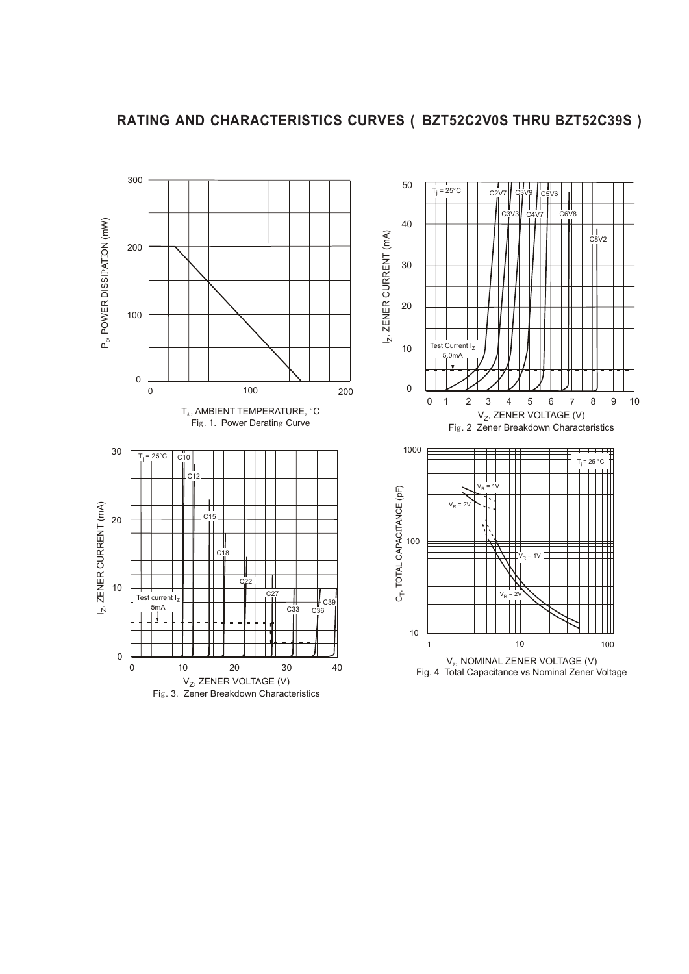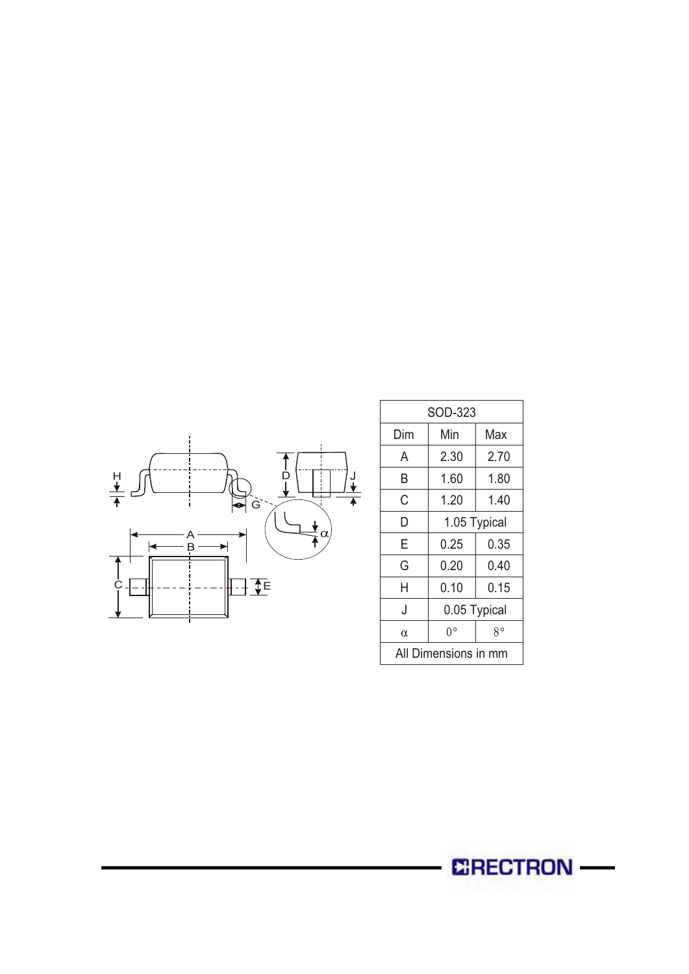

| SOD-323              |              |      |  |  |  |  |  |
|----------------------|--------------|------|--|--|--|--|--|
| Dim                  | Min          | Max  |  |  |  |  |  |
| A                    | 2.30         | 2.70 |  |  |  |  |  |
| B                    | 1.60<br>1.80 |      |  |  |  |  |  |
| С<br>1.20<br>1.40    |              |      |  |  |  |  |  |
| D                    | 1.05 Typical |      |  |  |  |  |  |
| Е                    | 0.25         | 0.35 |  |  |  |  |  |
| G<br>0.20<br>0.40    |              |      |  |  |  |  |  |
| Н                    | 0.10         | 0.15 |  |  |  |  |  |
| J                    | 0.05 Typical |      |  |  |  |  |  |
| α                    | 0°           | R۰   |  |  |  |  |  |
| All Dimensions in mm |              |      |  |  |  |  |  |